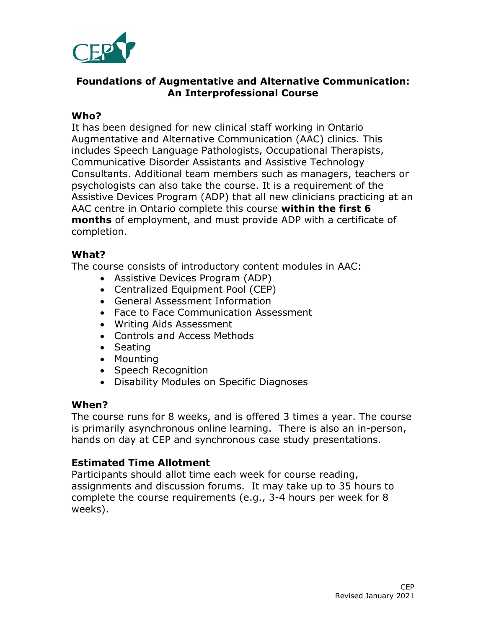

## **Foundations of Augmentative and Alternative Communication: An Interprofessional Course**

## **Who?**

It has been designed for new clinical staff working in Ontario Augmentative and Alternative Communication (AAC) clinics. This includes Speech Language Pathologists, Occupational Therapists, Communicative Disorder Assistants and Assistive Technology Consultants. Additional team members such as managers, teachers or psychologists can also take the course. It is a requirement of the Assistive Devices Program (ADP) that all new clinicians practicing at an AAC centre in Ontario complete this course **within the first 6 months** of employment, and must provide ADP with a certificate of completion.

## **What?**

The course consists of introductory content modules in AAC:

- Assistive Devices Program (ADP)
- Centralized Equipment Pool (CEP)
- General Assessment Information
- Face to Face Communication Assessment
- Writing Aids Assessment
- Controls and Access Methods
- Seating
- Mounting
- Speech Recognition
- Disability Modules on Specific Diagnoses

# **When?**

The course runs for 8 weeks, and is offered 3 times a year. The course is primarily asynchronous online learning. There is also an in-person, hands on day at CEP and synchronous case study presentations.

# **Estimated Time Allotment**

Participants should allot time each week for course reading, assignments and discussion forums. It may take up to 35 hours to complete the course requirements (e.g., 3-4 hours per week for 8 weeks).